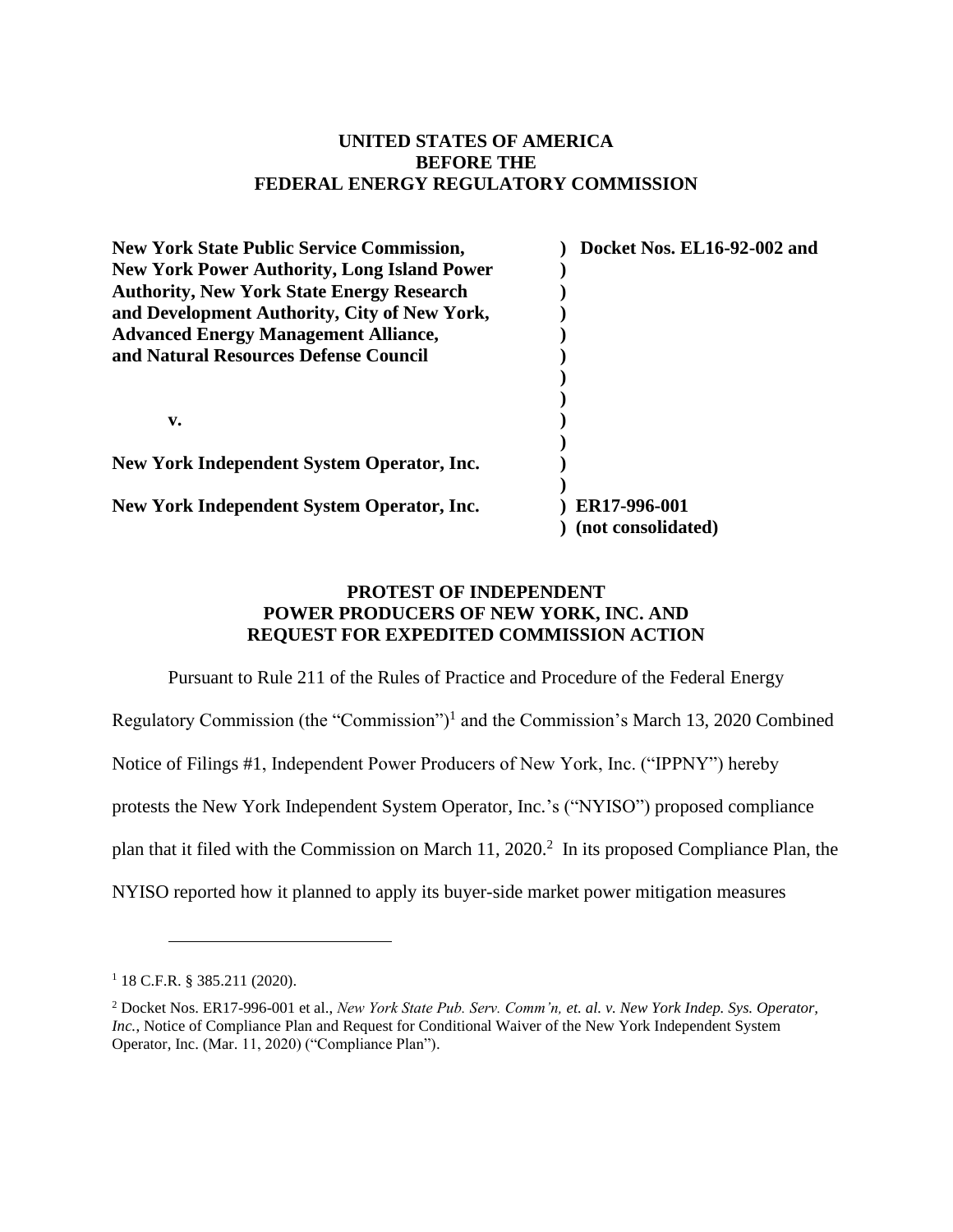## **UNITED STATES OF AMERICA BEFORE THE FEDERAL ENERGY REGULATORY COMMISSION**

| <b>New York State Public Service Commission,</b>   | Docket Nos. EL16-92-002 and |
|----------------------------------------------------|-----------------------------|
| <b>New York Power Authority, Long Island Power</b> |                             |
| <b>Authority, New York State Energy Research</b>   |                             |
| and Development Authority, City of New York,       |                             |
| <b>Advanced Energy Management Alliance,</b>        |                             |
| and Natural Resources Defense Council              |                             |
|                                                    |                             |
|                                                    |                             |
| v.                                                 |                             |
|                                                    |                             |
| New York Independent System Operator, Inc.         |                             |
|                                                    |                             |
| New York Independent System Operator, Inc.         | ER17-996-001                |
|                                                    | (not consolidated)          |

## **PROTEST OF INDEPENDENT POWER PRODUCERS OF NEW YORK, INC. AND REQUEST FOR EXPEDITED COMMISSION ACTION**

Pursuant to Rule 211 of the Rules of Practice and Procedure of the Federal Energy

Regulatory Commission (the "Commission")<sup>1</sup> and the Commission's March 13, 2020 Combined

Notice of Filings #1, Independent Power Producers of New York, Inc. ("IPPNY") hereby

protests the New York Independent System Operator, Inc.'s ("NYISO") proposed compliance

plan that it filed with the Commission on March 11, 2020.<sup>2</sup> In its proposed Compliance Plan, the

NYISO reported how it planned to apply its buyer-side market power mitigation measures

<sup>1</sup> 18 C.F.R. § 385.211 (2020).

<sup>2</sup> Docket Nos. ER17-996-001 et al., *New York State Pub. Serv. Comm'n, et. al. v. New York Indep. Sys. Operator, Inc.*, Notice of Compliance Plan and Request for Conditional Waiver of the New York Independent System Operator, Inc. (Mar. 11, 2020) ("Compliance Plan").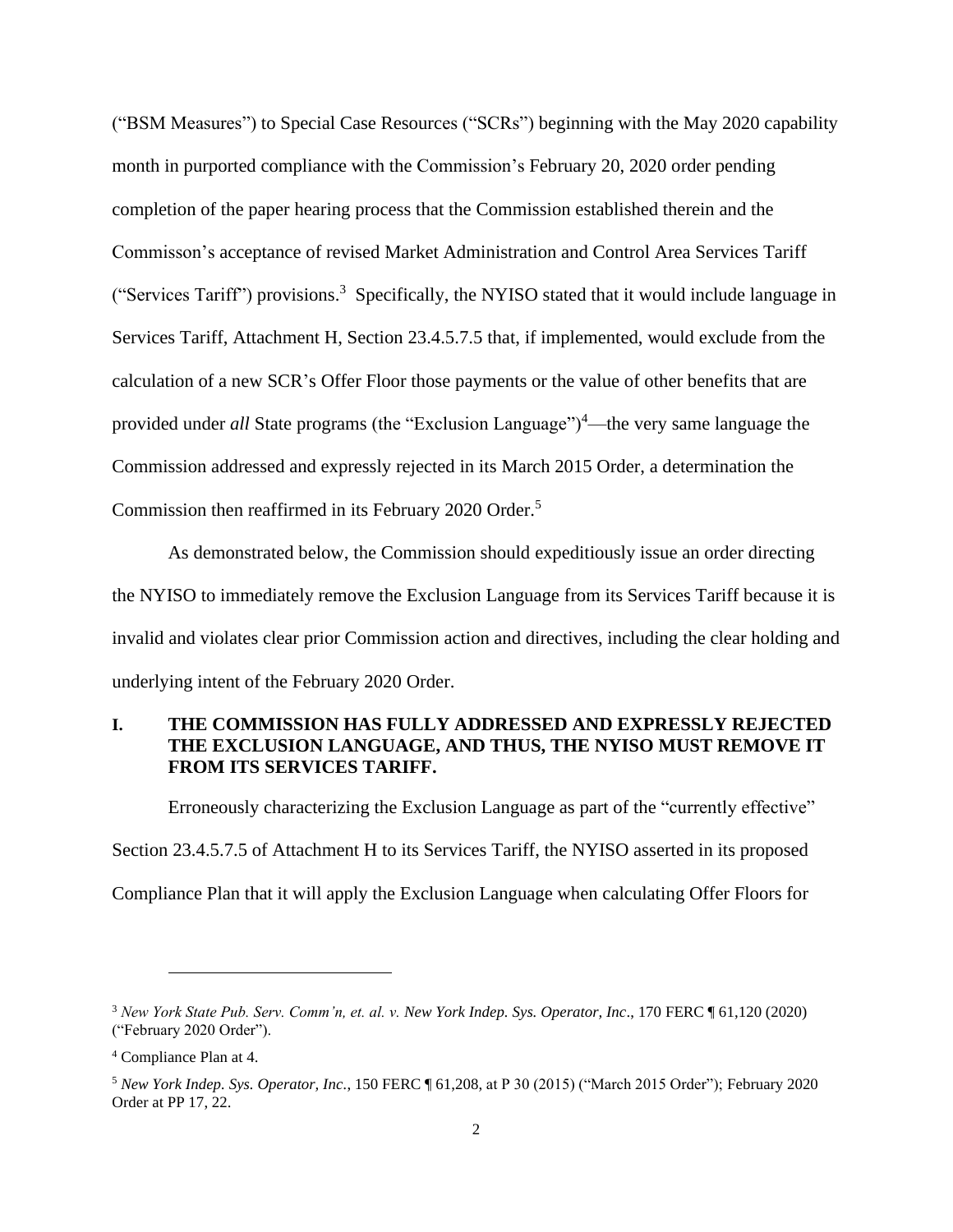("BSM Measures") to Special Case Resources ("SCRs") beginning with the May 2020 capability month in purported compliance with the Commission's February 20, 2020 order pending completion of the paper hearing process that the Commission established therein and the Commisson's acceptance of revised Market Administration and Control Area Services Tariff ("Services Tariff") provisions. 3 Specifically, the NYISO stated that it would include language in Services Tariff, Attachment H, Section 23.4.5.7.5 that, if implemented, would exclude from the calculation of a new SCR's Offer Floor those payments or the value of other benefits that are provided under *all* State programs (the "Exclusion Language")<sup>4</sup>—the very same language the Commission addressed and expressly rejected in its March 2015 Order, a determination the Commission then reaffirmed in its February 2020 Order.<sup>5</sup>

As demonstrated below, the Commission should expeditiously issue an order directing the NYISO to immediately remove the Exclusion Language from its Services Tariff because it is invalid and violates clear prior Commission action and directives, including the clear holding and underlying intent of the February 2020 Order.

## **I. THE COMMISSION HAS FULLY ADDRESSED AND EXPRESSLY REJECTED THE EXCLUSION LANGUAGE, AND THUS, THE NYISO MUST REMOVE IT FROM ITS SERVICES TARIFF.**

Erroneously characterizing the Exclusion Language as part of the "currently effective"

Section 23.4.5.7.5 of Attachment H to its Services Tariff, the NYISO asserted in its proposed

Compliance Plan that it will apply the Exclusion Language when calculating Offer Floors for

<sup>3</sup> *New York State Pub. Serv. Comm'n, et. al. v. New York Indep. Sys. Operator, Inc*., 170 FERC ¶ 61,120 (2020) ("February 2020 Order").

<sup>4</sup> Compliance Plan at 4.

<sup>5</sup> *New York Indep. Sys. Operator, Inc.*, 150 FERC ¶ 61,208, at P 30 (2015) ("March 2015 Order"); February 2020 Order at PP 17, 22.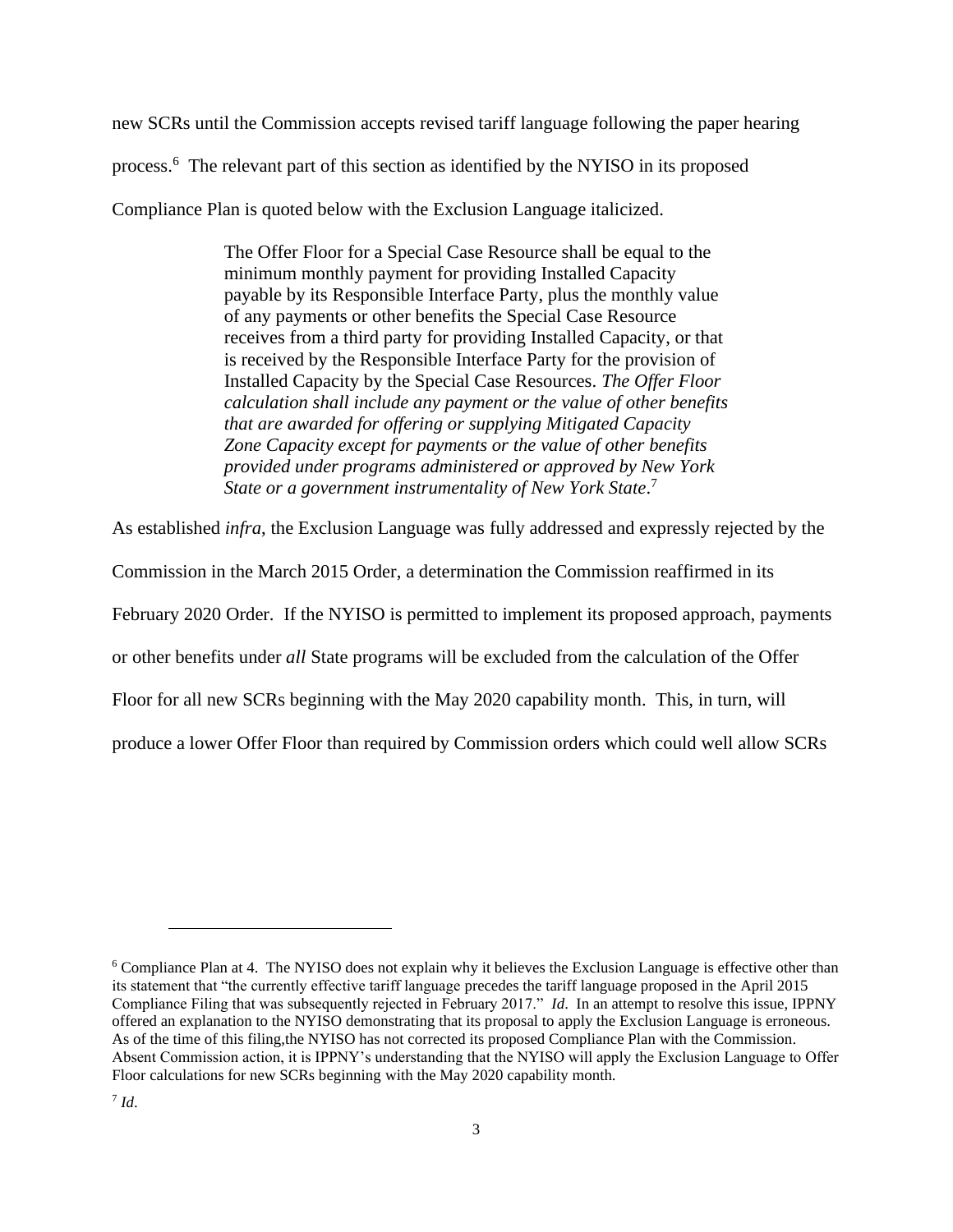new SCRs until the Commission accepts revised tariff language following the paper hearing process. 6 The relevant part of this section as identified by the NYISO in its proposed Compliance Plan is quoted below with the Exclusion Language italicized.

> The Offer Floor for a Special Case Resource shall be equal to the minimum monthly payment for providing Installed Capacity payable by its Responsible Interface Party, plus the monthly value of any payments or other benefits the Special Case Resource receives from a third party for providing Installed Capacity, or that is received by the Responsible Interface Party for the provision of Installed Capacity by the Special Case Resources. *The Offer Floor calculation shall include any payment or the value of other benefits that are awarded for offering or supplying Mitigated Capacity Zone Capacity except for payments or the value of other benefits provided under programs administered or approved by New York State or a government instrumentality of New York State*. 7

As established *infra*, the Exclusion Language was fully addressed and expressly rejected by the

Commission in the March 2015 Order, a determination the Commission reaffirmed in its

February 2020 Order. If the NYISO is permitted to implement its proposed approach, payments

or other benefits under *all* State programs will be excluded from the calculation of the Offer

Floor for all new SCRs beginning with the May 2020 capability month. This, in turn, will

produce a lower Offer Floor than required by Commission orders which could well allow SCRs

<sup>&</sup>lt;sup>6</sup> Compliance Plan at 4. The NYISO does not explain why it believes the Exclusion Language is effective other than its statement that "the currently effective tariff language precedes the tariff language proposed in the April 2015 Compliance Filing that was subsequently rejected in February 2017." *Id*. In an attempt to resolve this issue, IPPNY offered an explanation to the NYISO demonstrating that its proposal to apply the Exclusion Language is erroneous. As of the time of this filing,the NYISO has not corrected its proposed Compliance Plan with the Commission. Absent Commission action, it is IPPNY's understanding that the NYISO will apply the Exclusion Language to Offer Floor calculations for new SCRs beginning with the May 2020 capability month.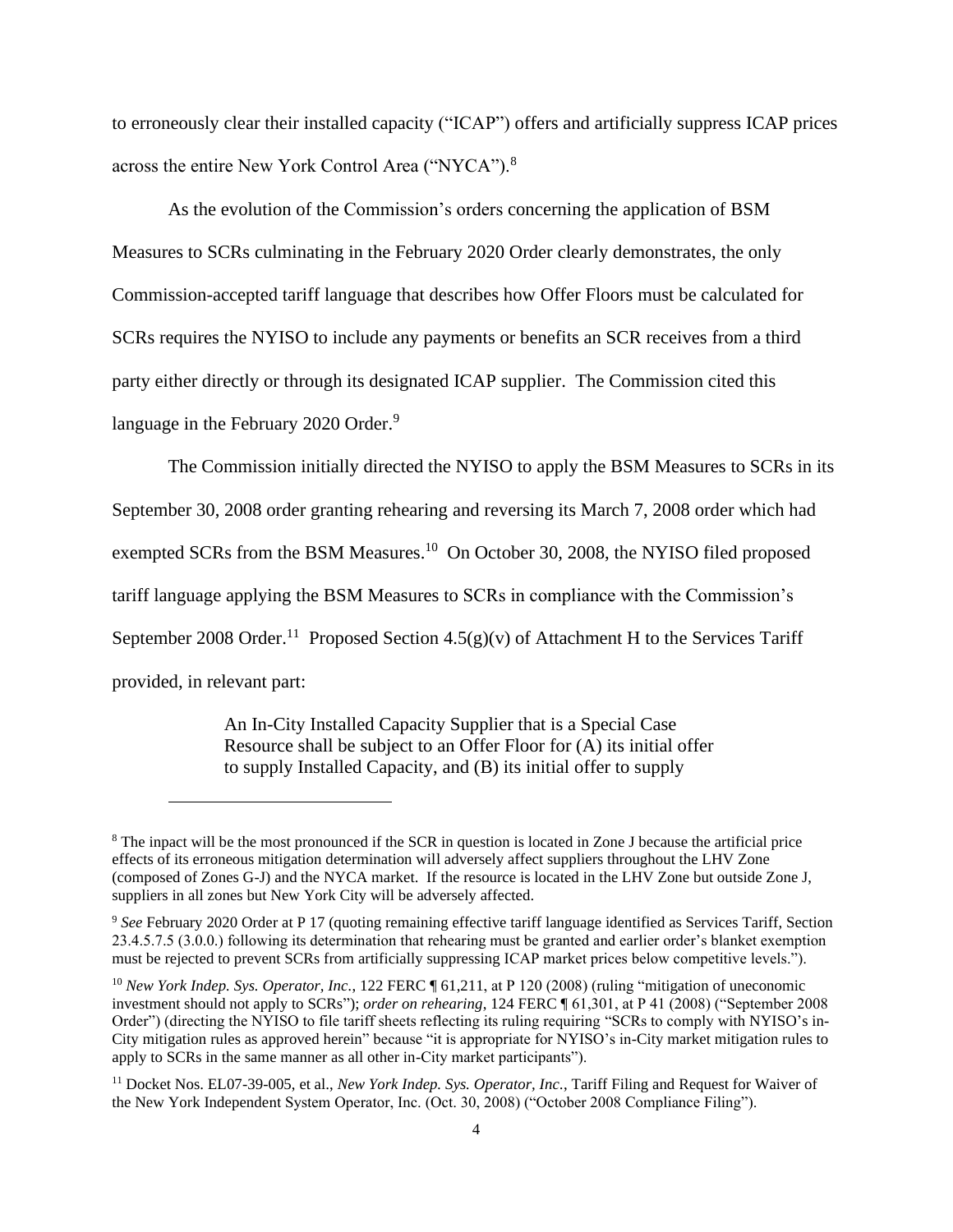to erroneously clear their installed capacity ("ICAP") offers and artificially suppress ICAP prices across the entire New York Control Area ("NYCA").<sup>8</sup>

As the evolution of the Commission's orders concerning the application of BSM Measures to SCRs culminating in the February 2020 Order clearly demonstrates, the only Commission-accepted tariff language that describes how Offer Floors must be calculated for SCRs requires the NYISO to include any payments or benefits an SCR receives from a third party either directly or through its designated ICAP supplier. The Commission cited this language in the February 2020 Order.<sup>9</sup>

The Commission initially directed the NYISO to apply the BSM Measures to SCRs in its September 30, 2008 order granting rehearing and reversing its March 7, 2008 order which had exempted SCRs from the BSM Measures.<sup>10</sup> On October 30, 2008, the NYISO filed proposed tariff language applying the BSM Measures to SCRs in compliance with the Commission's September 2008 Order.<sup>11</sup> Proposed Section 4.5(g)(v) of Attachment H to the Services Tariff provided, in relevant part:

> An In-City Installed Capacity Supplier that is a Special Case Resource shall be subject to an Offer Floor for (A) its initial offer to supply Installed Capacity, and (B) its initial offer to supply

<sup>&</sup>lt;sup>8</sup> The inpact will be the most pronounced if the SCR in question is located in Zone J because the artificial price effects of its erroneous mitigation determination will adversely affect suppliers throughout the LHV Zone (composed of Zones G-J) and the NYCA market. If the resource is located in the LHV Zone but outside Zone J, suppliers in all zones but New York City will be adversely affected.

<sup>9</sup> *See* February 2020 Order at P 17 (quoting remaining effective tariff language identified as Services Tariff, Section 23.4.5.7.5 (3.0.0.) following its determination that rehearing must be granted and earlier order's blanket exemption must be rejected to prevent SCRs from artificially suppressing ICAP market prices below competitive levels.").

<sup>&</sup>lt;sup>10</sup> *New York Indep. Sys. Operator, Inc.*, 122 FERC ¶ 61,211, at P 120 (2008) (ruling "mitigation of uneconomic investment should not apply to SCRs"); *order on rehearing*, 124 FERC ¶ 61,301, at P 41 (2008) ("September 2008 Order") (directing the NYISO to file tariff sheets reflecting its ruling requiring "SCRs to comply with NYISO's in-City mitigation rules as approved herein" because "it is appropriate for NYISO's in-City market mitigation rules to apply to SCRs in the same manner as all other in-City market participants").

<sup>11</sup> Docket Nos. EL07-39-005, et al., *New York Indep. Sys. Operator, Inc.*, Tariff Filing and Request for Waiver of the New York Independent System Operator, Inc. (Oct. 30, 2008) ("October 2008 Compliance Filing").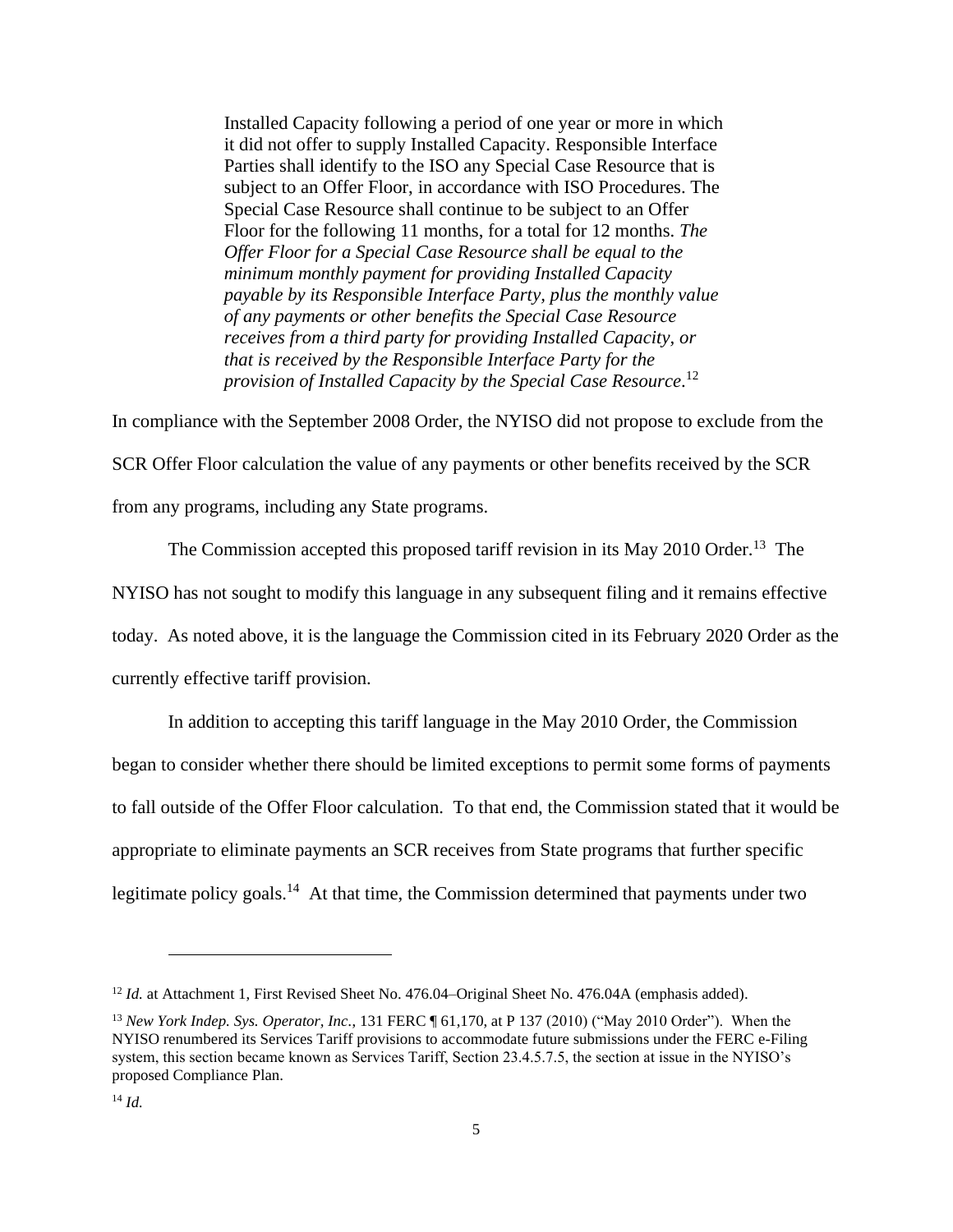Installed Capacity following a period of one year or more in which it did not offer to supply Installed Capacity. Responsible Interface Parties shall identify to the ISO any Special Case Resource that is subject to an Offer Floor, in accordance with ISO Procedures. The Special Case Resource shall continue to be subject to an Offer Floor for the following 11 months, for a total for 12 months. *The Offer Floor for a Special Case Resource shall be equal to the minimum monthly payment for providing Installed Capacity payable by its Responsible Interface Party, plus the monthly value of any payments or other benefits the Special Case Resource receives from a third party for providing Installed Capacity, or that is received by the Responsible Interface Party for the provision of Installed Capacity by the Special Case Resource*. 12

In compliance with the September 2008 Order, the NYISO did not propose to exclude from the

SCR Offer Floor calculation the value of any payments or other benefits received by the SCR from any programs, including any State programs.

The Commission accepted this proposed tariff revision in its May 2010 Order.<sup>13</sup> The NYISO has not sought to modify this language in any subsequent filing and it remains effective today. As noted above*,* it is the language the Commission cited in its February 2020 Order as the currently effective tariff provision.

In addition to accepting this tariff language in the May 2010 Order, the Commission began to consider whether there should be limited exceptions to permit some forms of payments to fall outside of the Offer Floor calculation. To that end, the Commission stated that it would be appropriate to eliminate payments an SCR receives from State programs that further specific legitimate policy goals.<sup>14</sup> At that time, the Commission determined that payments under two

<sup>&</sup>lt;sup>12</sup> *Id.* at Attachment 1, First Revised Sheet No. 476.04–Original Sheet No. 476.04A (emphasis added).

<sup>13</sup> *New York Indep. Sys. Operator, Inc.*, 131 FERC ¶ 61,170, at P 137 (2010) ("May 2010 Order"). When the NYISO renumbered its Services Tariff provisions to accommodate future submissions under the FERC e-Filing system, this section became known as Services Tariff, Section 23.4.5.7.5, the section at issue in the NYISO's proposed Compliance Plan.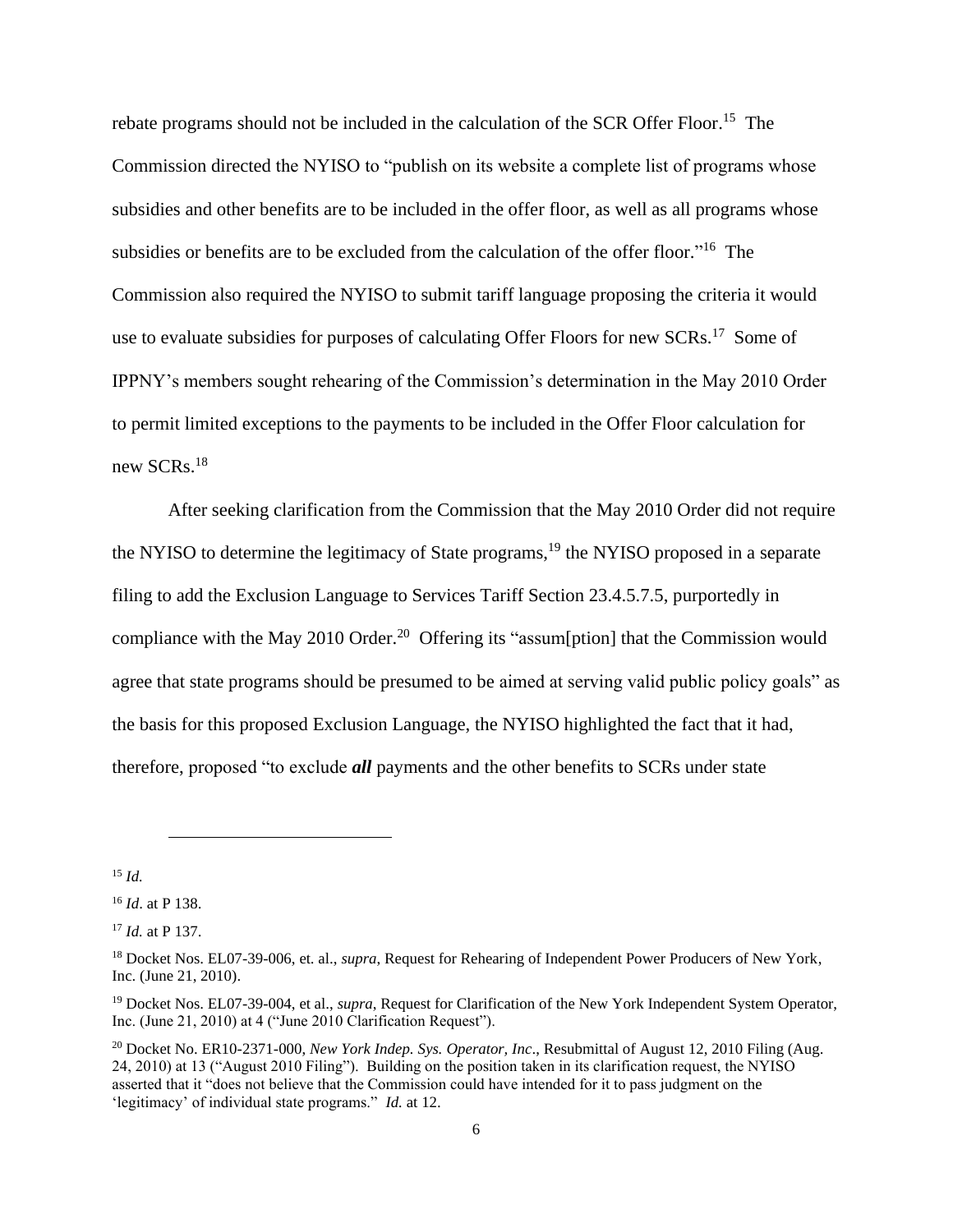rebate programs should not be included in the calculation of the SCR Offer Floor.<sup>15</sup> The Commission directed the NYISO to "publish on its website a complete list of programs whose subsidies and other benefits are to be included in the offer floor, as well as all programs whose subsidies or benefits are to be excluded from the calculation of the offer floor."<sup>16</sup> The Commission also required the NYISO to submit tariff language proposing the criteria it would use to evaluate subsidies for purposes of calculating Offer Floors for new SCRs.<sup>17</sup> Some of IPPNY's members sought rehearing of the Commission's determination in the May 2010 Order to permit limited exceptions to the payments to be included in the Offer Floor calculation for new SCRs.<sup>18</sup>

After seeking clarification from the Commission that the May 2010 Order did not require the NYISO to determine the legitimacy of State programs,<sup>19</sup> the NYISO proposed in a separate filing to add the Exclusion Language to Services Tariff Section 23.4.5.7.5, purportedly in compliance with the May 2010 Order.<sup>20</sup> Offering its "assum[ption] that the Commission would agree that state programs should be presumed to be aimed at serving valid public policy goals" as the basis for this proposed Exclusion Language, the NYISO highlighted the fact that it had, therefore, proposed "to exclude *all* payments and the other benefits to SCRs under state

<sup>15</sup> *Id.*

<sup>16</sup> *Id*. at P 138.

<sup>17</sup> *Id.* at P 137.

<sup>18</sup> Docket Nos. EL07-39-006, et. al., *supra*, Request for Rehearing of Independent Power Producers of New York, Inc. (June 21, 2010).

<sup>19</sup> Docket Nos. EL07-39-004, et al., *supra*, Request for Clarification of the New York Independent System Operator, Inc. (June 21, 2010) at 4 ("June 2010 Clarification Request").

<sup>20</sup> Docket No. ER10-2371-000, *New York Indep. Sys. Operator, Inc*., Resubmittal of August 12, 2010 Filing (Aug. 24, 2010) at 13 ("August 2010 Filing"). Building on the position taken in its clarification request, the NYISO asserted that it "does not believe that the Commission could have intended for it to pass judgment on the 'legitimacy' of individual state programs." *Id.* at 12.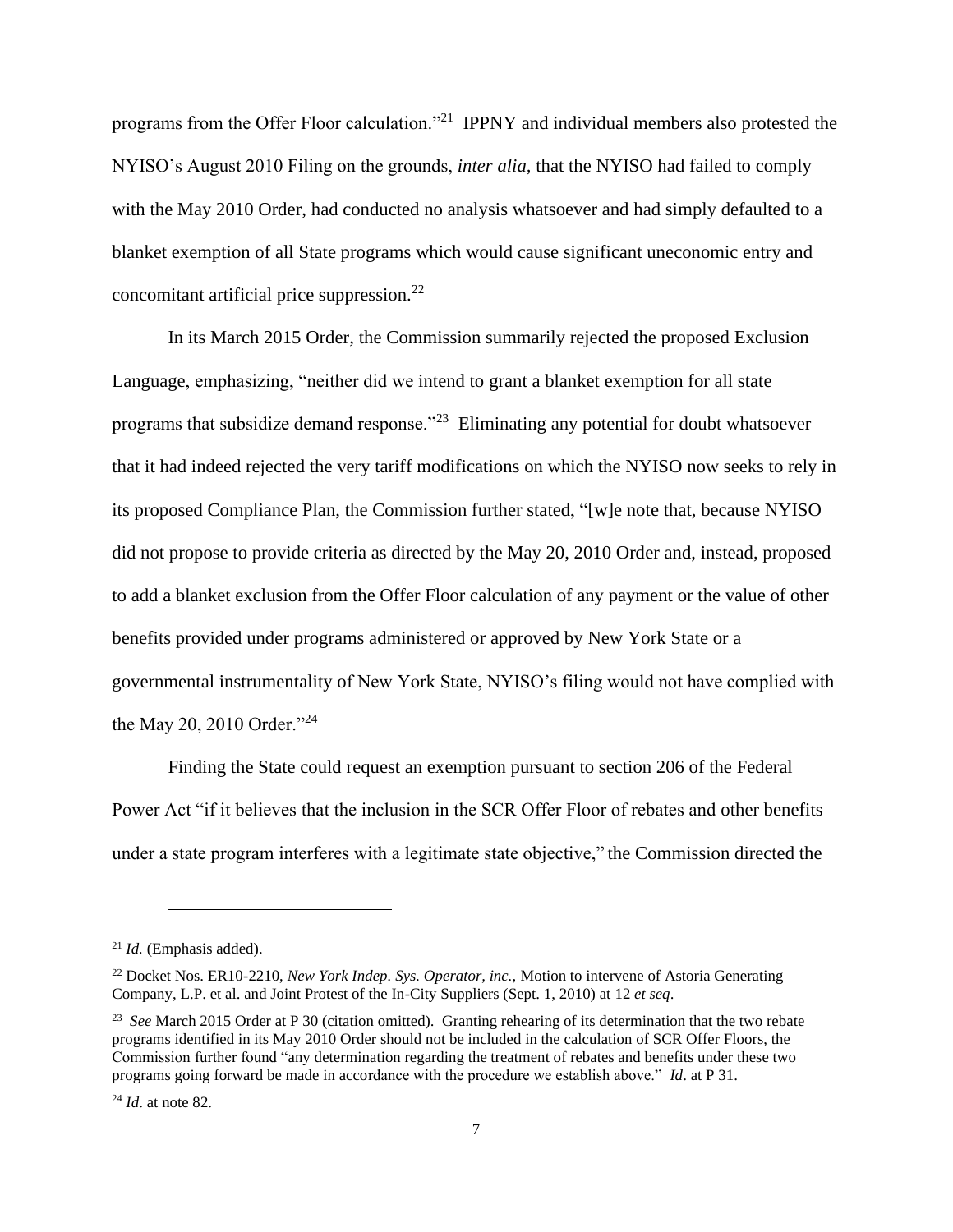programs from the Offer Floor calculation."<sup>21</sup> IPPNY and individual members also protested the NYISO's August 2010 Filing on the grounds, *inter alia,* that the NYISO had failed to comply with the May 2010 Order, had conducted no analysis whatsoever and had simply defaulted to a blanket exemption of all State programs which would cause significant uneconomic entry and concomitant artificial price suppression. $^{22}$ 

In its March 2015 Order, the Commission summarily rejected the proposed Exclusion Language, emphasizing, "neither did we intend to grant a blanket exemption for all state programs that subsidize demand response."<sup>23</sup> Eliminating any potential for doubt whatsoever that it had indeed rejected the very tariff modifications on which the NYISO now seeks to rely in its proposed Compliance Plan, the Commission further stated, "[w]e note that, because NYISO did not propose to provide criteria as directed by the May 20, 2010 Order and, instead, proposed to add a blanket exclusion from the Offer Floor calculation of any payment or the value of other benefits provided under programs administered or approved by New York State or a governmental instrumentality of New York State, NYISO's filing would not have complied with the May 20, 2010 Order."<sup>24</sup>

Finding the State could request an exemption pursuant to section 206 of the Federal Power Act "if it believes that the inclusion in the SCR Offer Floor of rebates and other benefits under a state program interferes with a legitimate state objective," the Commission directed the

<sup>21</sup> *Id.* (Emphasis added).

<sup>22</sup> Docket Nos. ER10-2210, *New York Indep. Sys. Operator, inc.,* Motion to intervene of Astoria Generating Company, L.P. et al. and Joint Protest of the In-City Suppliers (Sept. 1, 2010) at 12 *et seq*.

<sup>&</sup>lt;sup>23</sup> *See* March 2015 Order at P 30 (citation omitted). Granting rehearing of its determination that the two rebate programs identified in its May 2010 Order should not be included in the calculation of SCR Offer Floors, the Commission further found "any determination regarding the treatment of rebates and benefits under these two programs going forward be made in accordance with the procedure we establish above." *Id*. at P 31.

<sup>24</sup> *Id*. at note 82.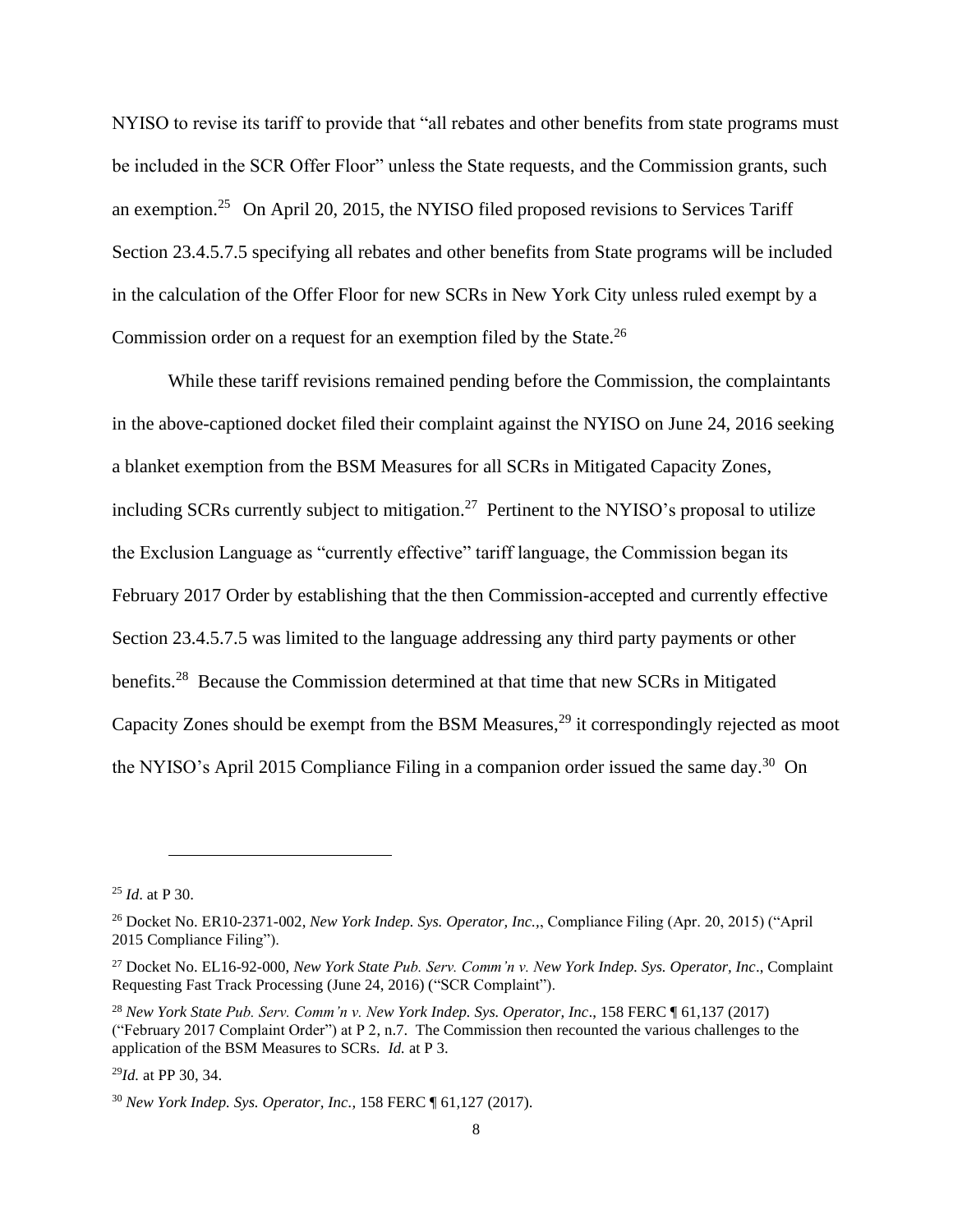NYISO to revise its tariff to provide that "all rebates and other benefits from state programs must be included in the SCR Offer Floor" unless the State requests, and the Commission grants, such an exemption.<sup>25</sup> On April 20, 2015, the NYISO filed proposed revisions to Services Tariff Section 23.4.5.7.5 specifying all rebates and other benefits from State programs will be included in the calculation of the Offer Floor for new SCRs in New York City unless ruled exempt by a Commission order on a request for an exemption filed by the State.<sup>26</sup>

While these tariff revisions remained pending before the Commission, the complaintants in the above-captioned docket filed their complaint against the NYISO on June 24, 2016 seeking a blanket exemption from the BSM Measures for all SCRs in Mitigated Capacity Zones, including SCRs currently subject to mitigation.<sup>27</sup> Pertinent to the NYISO's proposal to utilize the Exclusion Language as "currently effective" tariff language, the Commission began its February 2017 Order by establishing that the then Commission-accepted and currently effective Section 23.4.5.7.5 was limited to the language addressing any third party payments or other benefits.<sup>28</sup> Because the Commission determined at that time that new SCRs in Mitigated Capacity Zones should be exempt from the BSM Measures, $^{29}$  it correspondingly rejected as moot the NYISO's April 2015 Compliance Filing in a companion order issued the same day.<sup>30</sup> On

<sup>25</sup> *Id*. at P 30.

<sup>26</sup> Docket No. ER10-2371-002, *New York Indep. Sys. Operator, Inc.,*, Compliance Filing (Apr. 20, 2015) ("April 2015 Compliance Filing").

<sup>27</sup> Docket No. EL16-92-000, *New York State Pub. Serv. Comm'n v. New York Indep. Sys. Operator, Inc*., Complaint Requesting Fast Track Processing (June 24, 2016) ("SCR Complaint").

<sup>28</sup> *New York State Pub. Serv. Comm'n v. New York Indep. Sys. Operator, Inc*., 158 FERC ¶ 61,137 (2017) ("February 2017 Complaint Order") at P 2, n.7. The Commission then recounted the various challenges to the application of the BSM Measures to SCRs. *Id.* at P 3.

<sup>29</sup>*Id.* at PP 30, 34.

<sup>30</sup> *New York Indep. Sys. Operator, Inc.,* 158 FERC ¶ 61,127 (2017).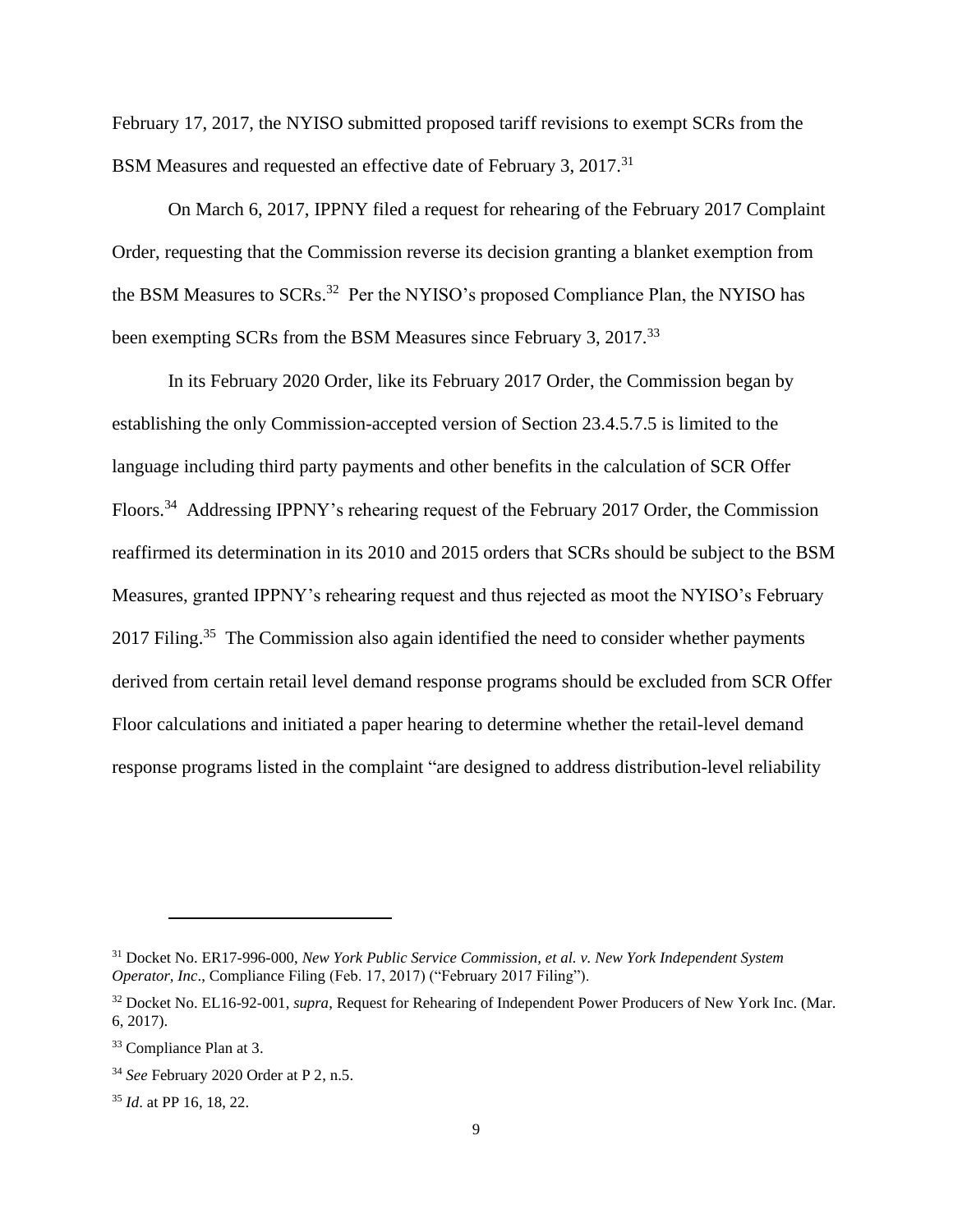February 17, 2017, the NYISO submitted proposed tariff revisions to exempt SCRs from the BSM Measures and requested an effective date of February 3, 2017.<sup>31</sup>

On March 6, 2017, IPPNY filed a request for rehearing of the February 2017 Complaint Order, requesting that the Commission reverse its decision granting a blanket exemption from the BSM Measures to SCRs.<sup>32</sup> Per the NYISO's proposed Compliance Plan, the NYISO has been exempting SCRs from the BSM Measures since February 3, 2017.<sup>33</sup>

In its February 2020 Order, like its February 2017 Order, the Commission began by establishing the only Commission-accepted version of Section 23.4.5.7.5 is limited to the language including third party payments and other benefits in the calculation of SCR Offer Floors.<sup>34</sup> Addressing IPPNY's rehearing request of the February 2017 Order, the Commission reaffirmed its determination in its 2010 and 2015 orders that SCRs should be subject to the BSM Measures, granted IPPNY's rehearing request and thus rejected as moot the NYISO's February 2017 Filing.<sup>35</sup> The Commission also again identified the need to consider whether payments derived from certain retail level demand response programs should be excluded from SCR Offer Floor calculations and initiated a paper hearing to determine whether the retail-level demand response programs listed in the complaint "are designed to address distribution-level reliability

<sup>31</sup> Docket No. ER17-996-000, *New York Public Service Commission, et al. v. New York Independent System Operator, Inc*., Compliance Filing (Feb. 17, 2017) ("February 2017 Filing").

<sup>32</sup> Docket No. EL16-92-001, *supra*, Request for Rehearing of Independent Power Producers of New York Inc. (Mar. 6, 2017).

<sup>33</sup> Compliance Plan at 3.

<sup>34</sup> *See* February 2020 Order at P 2, n.5.

<sup>35</sup> *Id*. at PP 16, 18, 22.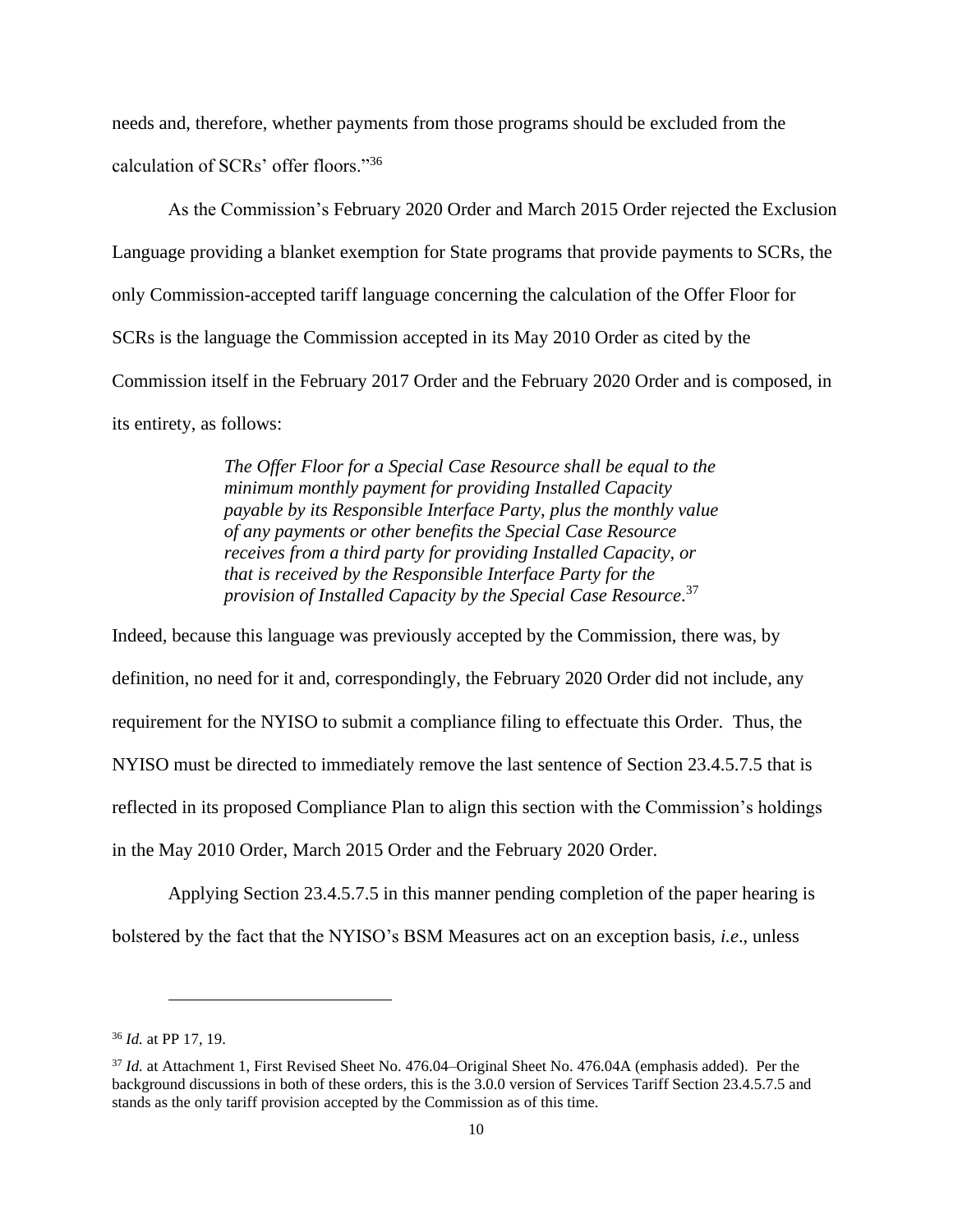needs and, therefore, whether payments from those programs should be excluded from the calculation of SCRs' offer floors." 36

As the Commission's February 2020 Order and March 2015 Order rejected the Exclusion Language providing a blanket exemption for State programs that provide payments to SCRs, the only Commission-accepted tariff language concerning the calculation of the Offer Floor for SCRs is the language the Commission accepted in its May 2010 Order as cited by the Commission itself in the February 2017 Order and the February 2020 Order and is composed, in its entirety, as follows:

> *The Offer Floor for a Special Case Resource shall be equal to the minimum monthly payment for providing Installed Capacity payable by its Responsible Interface Party, plus the monthly value of any payments or other benefits the Special Case Resource receives from a third party for providing Installed Capacity, or that is received by the Responsible Interface Party for the provision of Installed Capacity by the Special Case Resource*. 37

Indeed, because this language was previously accepted by the Commission, there was, by definition, no need for it and, correspondingly, the February 2020 Order did not include, any requirement for the NYISO to submit a compliance filing to effectuate this Order. Thus, the NYISO must be directed to immediately remove the last sentence of Section 23.4.5.7.5 that is reflected in its proposed Compliance Plan to align this section with the Commission's holdings in the May 2010 Order, March 2015 Order and the February 2020 Order.

Applying Section 23.4.5.7.5 in this manner pending completion of the paper hearing is bolstered by the fact that the NYISO's BSM Measures act on an exception basis, *i.e*., unless

<sup>36</sup> *Id.* at PP 17, 19.

<sup>37</sup> *Id.* at Attachment 1, First Revised Sheet No. 476.04–Original Sheet No. 476.04A (emphasis added). Per the background discussions in both of these orders, this is the 3.0.0 version of Services Tariff Section 23.4.5.7.5 and stands as the only tariff provision accepted by the Commission as of this time.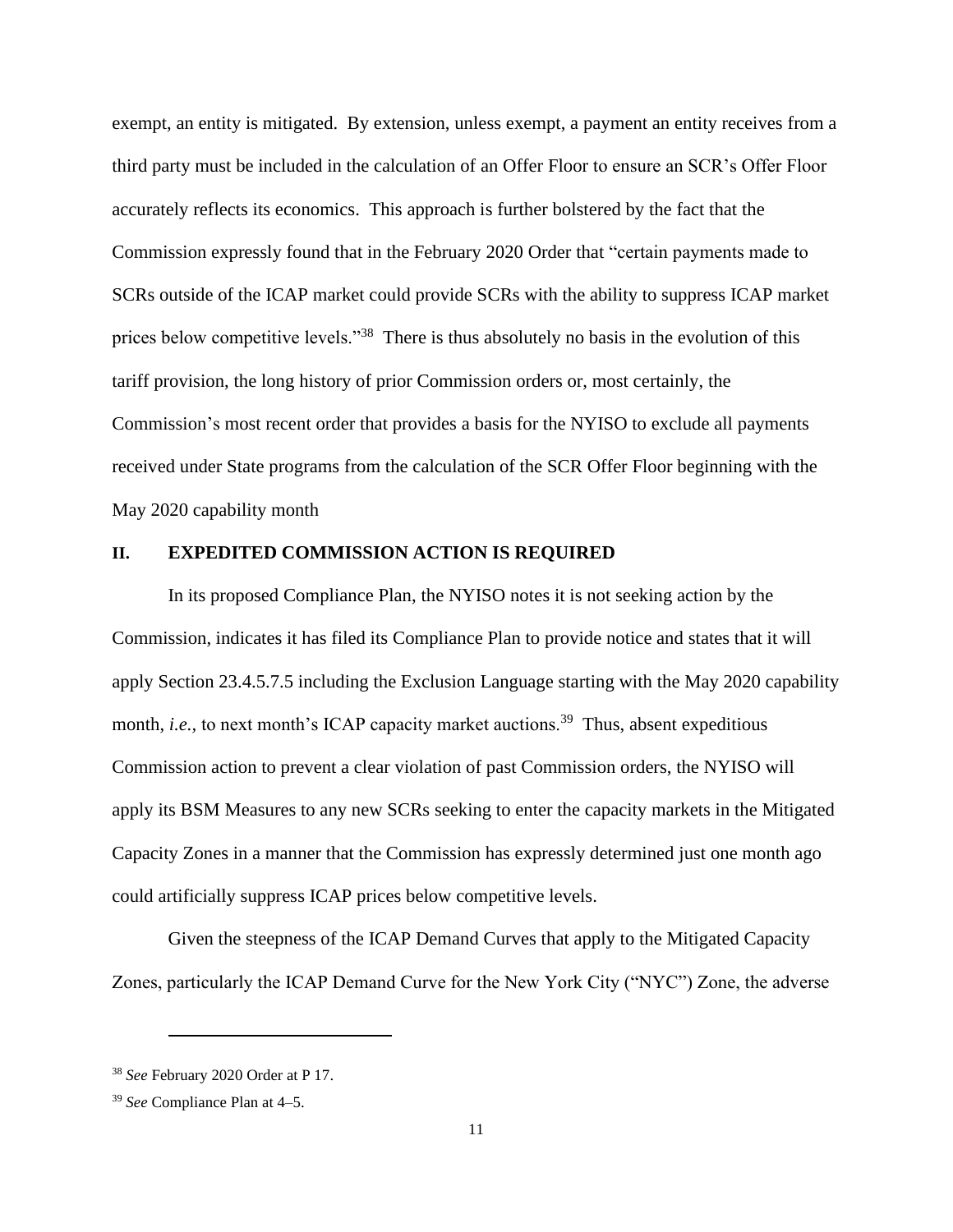exempt, an entity is mitigated. By extension, unless exempt, a payment an entity receives from a third party must be included in the calculation of an Offer Floor to ensure an SCR's Offer Floor accurately reflects its economics. This approach is further bolstered by the fact that the Commission expressly found that in the February 2020 Order that "certain payments made to SCRs outside of the ICAP market could provide SCRs with the ability to suppress ICAP market prices below competitive levels."<sup>38</sup> There is thus absolutely no basis in the evolution of this tariff provision, the long history of prior Commission orders or, most certainly, the Commission's most recent order that provides a basis for the NYISO to exclude all payments received under State programs from the calculation of the SCR Offer Floor beginning with the May 2020 capability month

#### **II. EXPEDITED COMMISSION ACTION IS REQUIRED**

In its proposed Compliance Plan, the NYISO notes it is not seeking action by the Commission, indicates it has filed its Compliance Plan to provide notice and states that it will apply Section 23.4.5.7.5 including the Exclusion Language starting with the May 2020 capability month, *i.e.*, to next month's ICAP capacity market auctions.<sup>39</sup> Thus, absent expeditious Commission action to prevent a clear violation of past Commission orders, the NYISO will apply its BSM Measures to any new SCRs seeking to enter the capacity markets in the Mitigated Capacity Zones in a manner that the Commission has expressly determined just one month ago could artificially suppress ICAP prices below competitive levels.

Given the steepness of the ICAP Demand Curves that apply to the Mitigated Capacity Zones, particularly the ICAP Demand Curve for the New York City ("NYC") Zone, the adverse

<sup>38</sup> *See* February 2020 Order at P 17.

<sup>39</sup> *See* Compliance Plan at 4–5.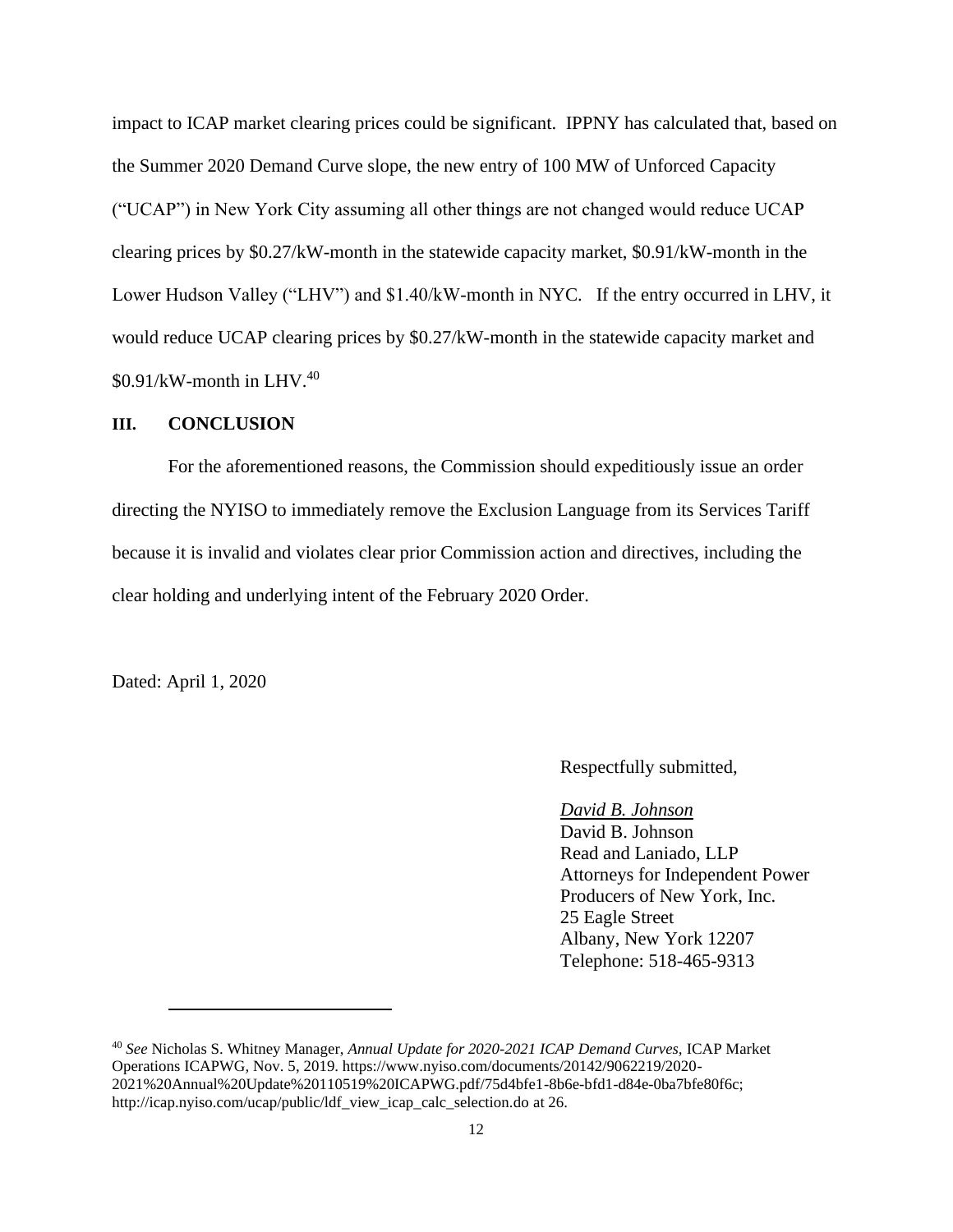impact to ICAP market clearing prices could be significant. IPPNY has calculated that, based on the Summer 2020 Demand Curve slope, the new entry of 100 MW of Unforced Capacity ("UCAP") in New York City assuming all other things are not changed would reduce UCAP clearing prices by \$0.27/kW-month in the statewide capacity market, \$0.91/kW-month in the Lower Hudson Valley ("LHV") and \$1.40/kW-month in NYC. If the entry occurred in LHV, it would reduce UCAP clearing prices by \$0.27/kW-month in the statewide capacity market and  $$0.91/kW$ -month in LHV.<sup>40</sup>

### **III. CONCLUSION**

For the aforementioned reasons, the Commission should expeditiously issue an order directing the NYISO to immediately remove the Exclusion Language from its Services Tariff because it is invalid and violates clear prior Commission action and directives, including the clear holding and underlying intent of the February 2020 Order.

Dated: April 1, 2020

Respectfully submitted,

#### *David B. Johnson*

David B. Johnson Read and Laniado, LLP Attorneys for Independent Power Producers of New York, Inc. 25 Eagle Street Albany, New York 12207 Telephone: 518-465-9313

<sup>40</sup> *See* Nicholas S. Whitney Manager, *Annual Update for 2020-2021 ICAP Demand Curves,* ICAP Market Operations ICAPWG*,* Nov. 5, 2019. https://www.nyiso.com/documents/20142/9062219/2020- 2021%20Annual%20Update%20110519%20ICAPWG.pdf/75d4bfe1-8b6e-bfd1-d84e-0ba7bfe80f6c; http://icap.nyiso.com/ucap/public/ldf\_view\_icap\_calc\_selection.do at 26.